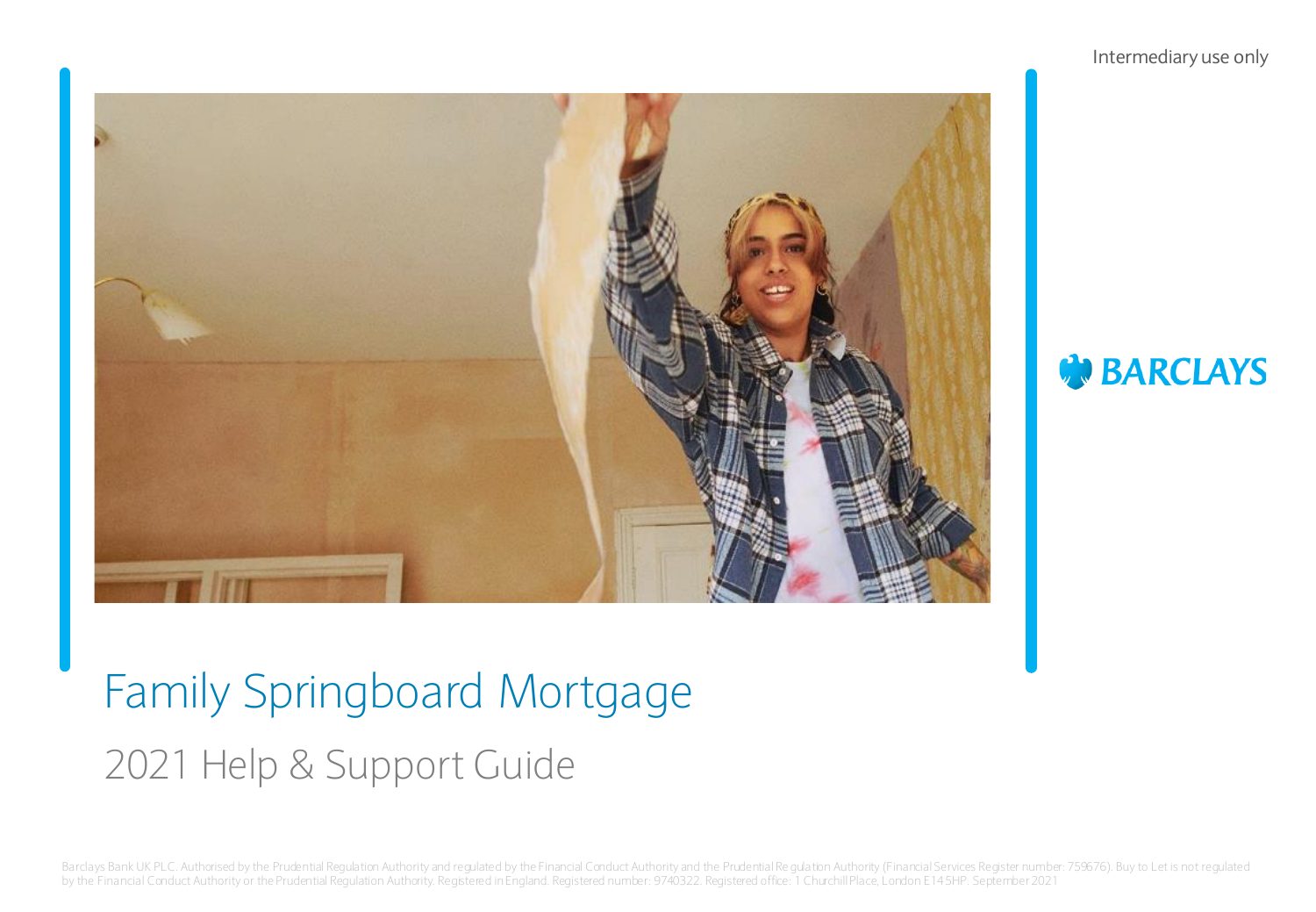#### Intermediary use only



## **BARCLAYS**

# Family Springboard Mortgage 2021 Help & Support Guide

Barclays Bank UK PLC. Authorised by the Prudential Regulation Authority and regulated by the Financial Conduct Authority and the Prudential Regulation Authority (Financial Services Register number: 759676). Buy to Let is n by the Financial Conduct Authority or the Prudential Regulation Authority. Registered in England. Registered number: 9740322. Registered office: 1 Churchill Place, London E14 5HP. September 2021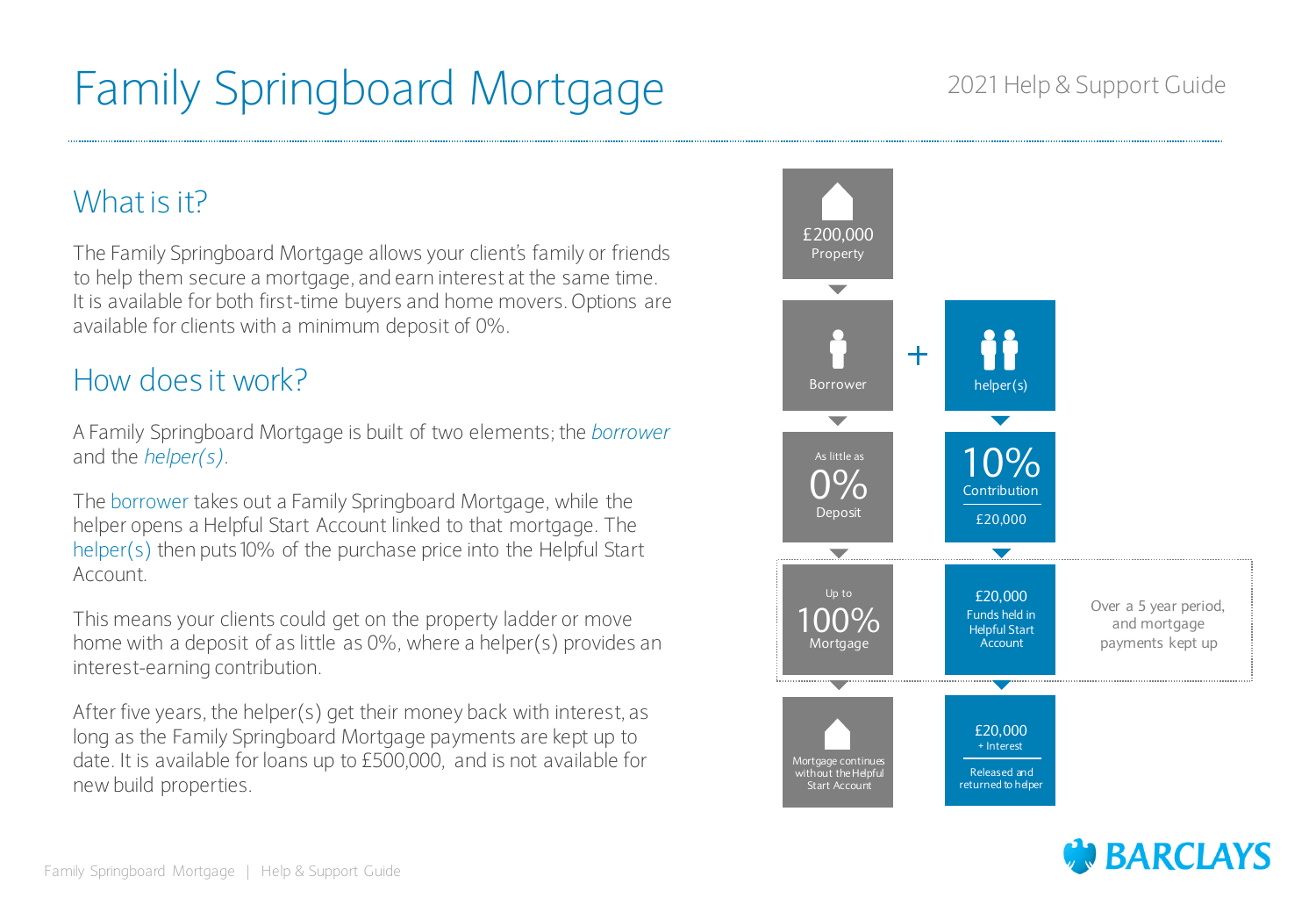### What is it?

The Family Springboard Mortgage allows your client's family or friends to help them secure a mortgage, and earn interest at the same time. It is available for both first-time buyers and home movers. Options are available for clients with a minimum deposit of 0%.

### How does it work?

A Family Springboard Mortgage is built of two elements; the *borrower* and the *helper(s)*.

The borrower takes out a Family Springboard Mortgage, while the helper opens a Helpful Start Account linked to that mortgage. The helper(s) then puts10% of the purchase price into the Helpful Start Account.

This means your clients could get on the property ladder or move home with a deposit of as little as 0%, where a helper(s) provides an interest-earning contribution.

After five years, the helper(s) get their money back with interest, as long as the Family Springboard Mortgage payments are kept up to date. It is available for loans up to £500,000, and is not available for new build properties.





#### 2021 Help & Support Guide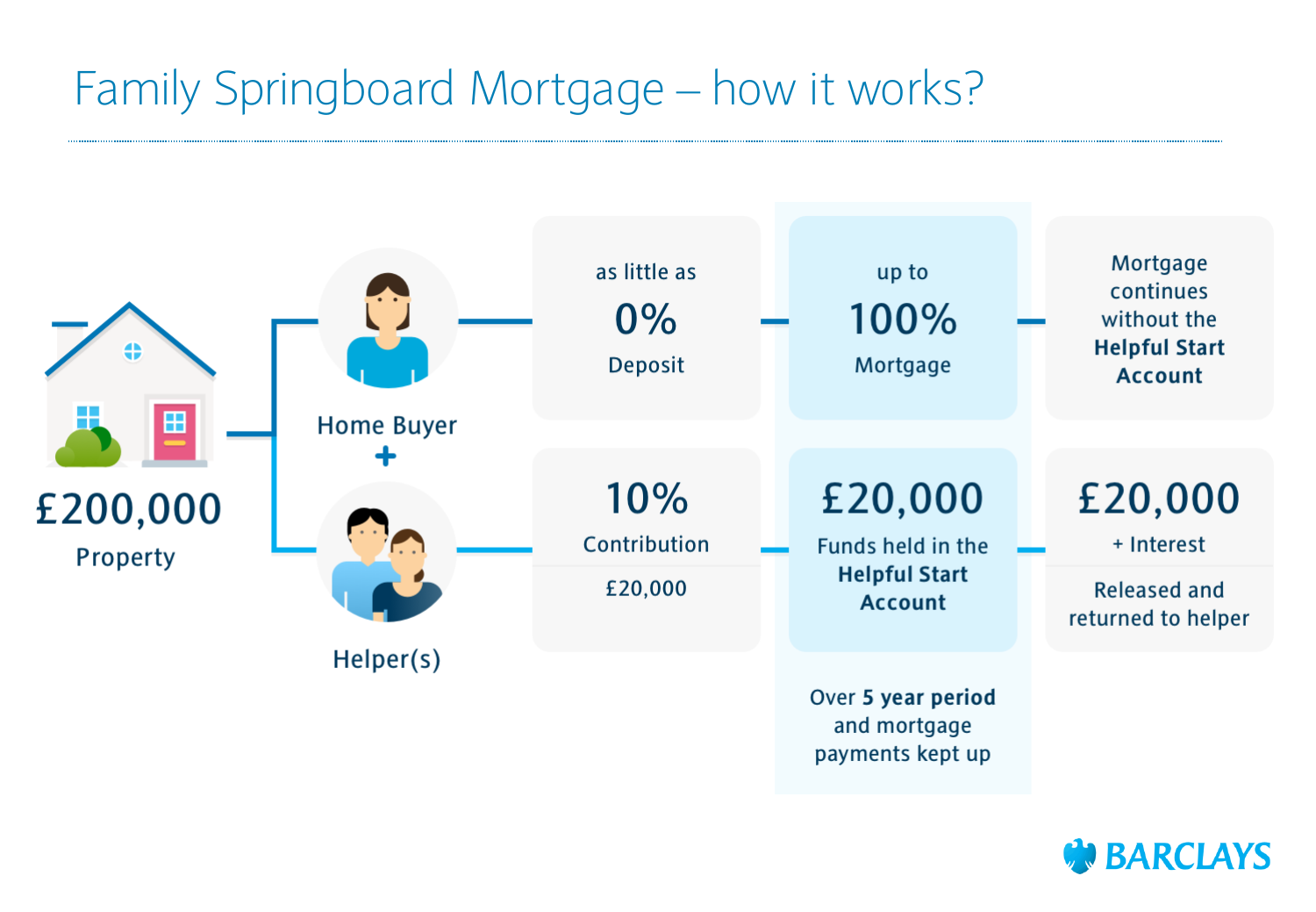## Family Springboard Mortgage – how it works?



### **BARCLAYS**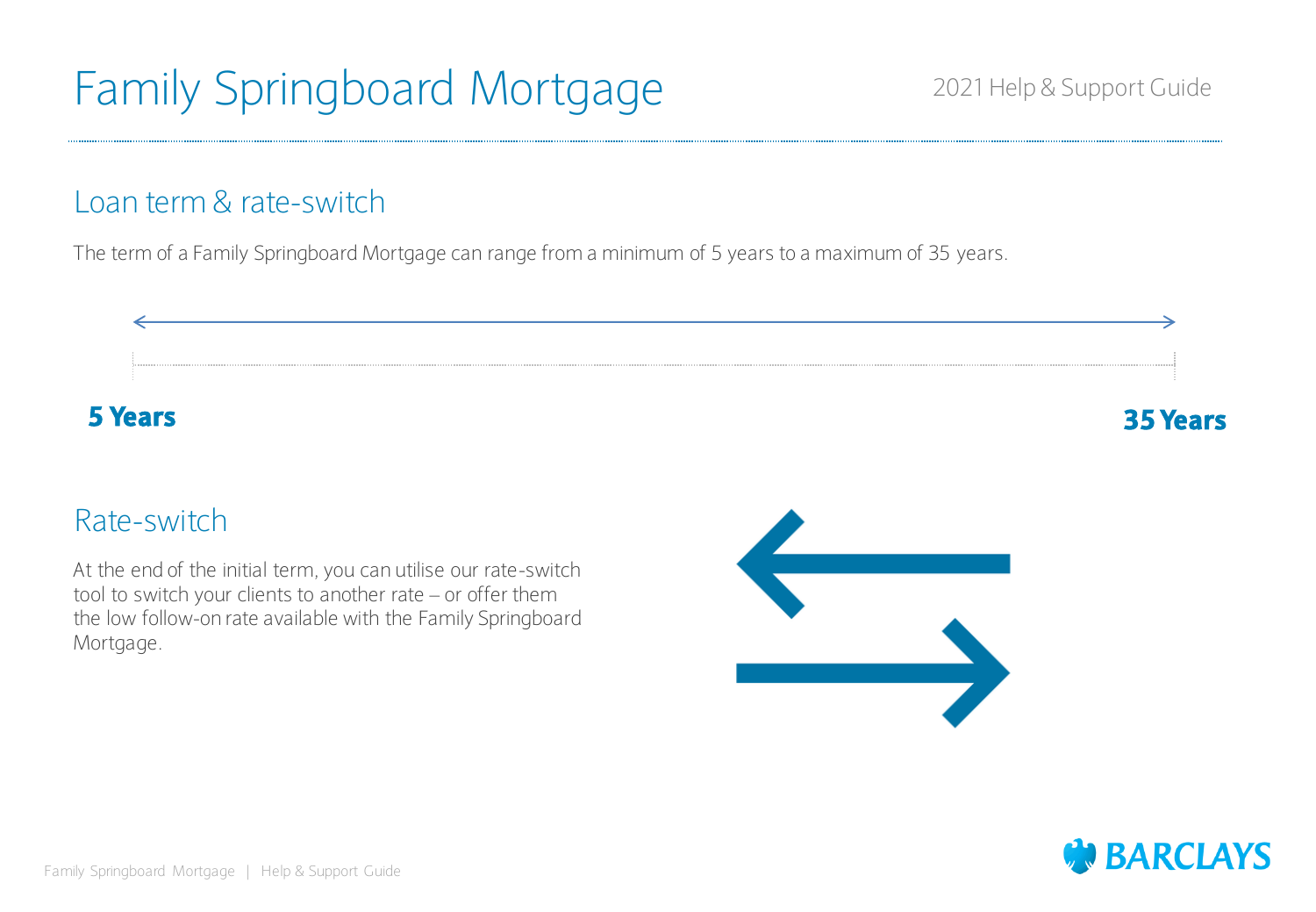### Loan term & rate-switch

The term of a Family Springboard Mortgage can range from a minimum of 5 years to a maximum of 35 years.



### Rate-switch

At the end of the initial term, you can utilise our rate-switch tool to switch your clients to another rate – or offer them the low follow-on rate available with the Family Springboard Mortgage.



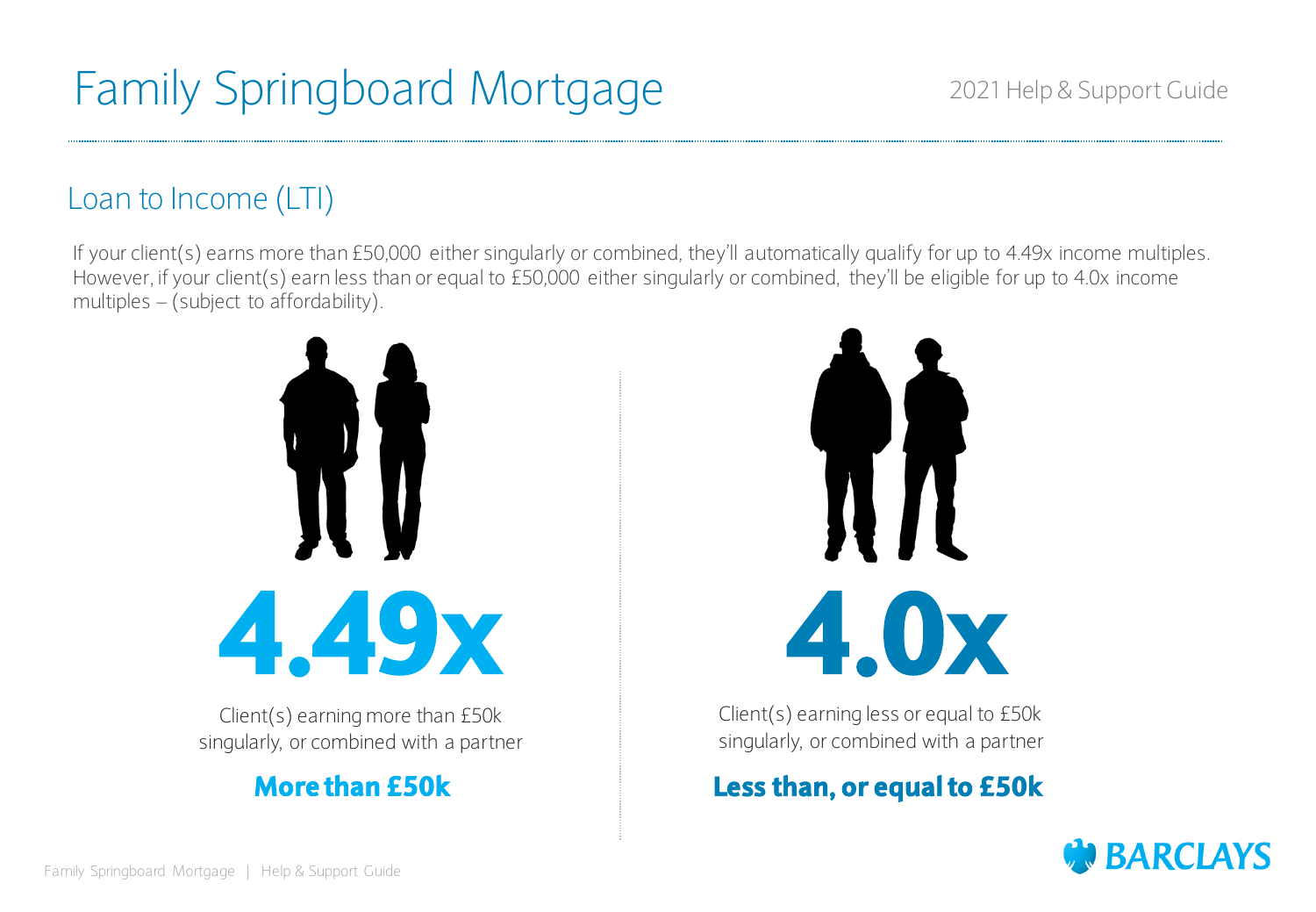### Loan to Income (LTI)

If your client(s) earns more than £50,000 either singularly or combined, they'll automatically qualify for up to 4.49x income multiples. However, if your client(s) earn less than or equal to £50,000 either singularly or combined, they'll be eligible for up to 4.0x income multiples – (subject to affordability).



Client(s) earning more than £50k singularly, or combined with a partner



Client(s) earning less or equal to £50k singularly, or combined with a partner

### **More than £50k Less than, or equal to £50k**

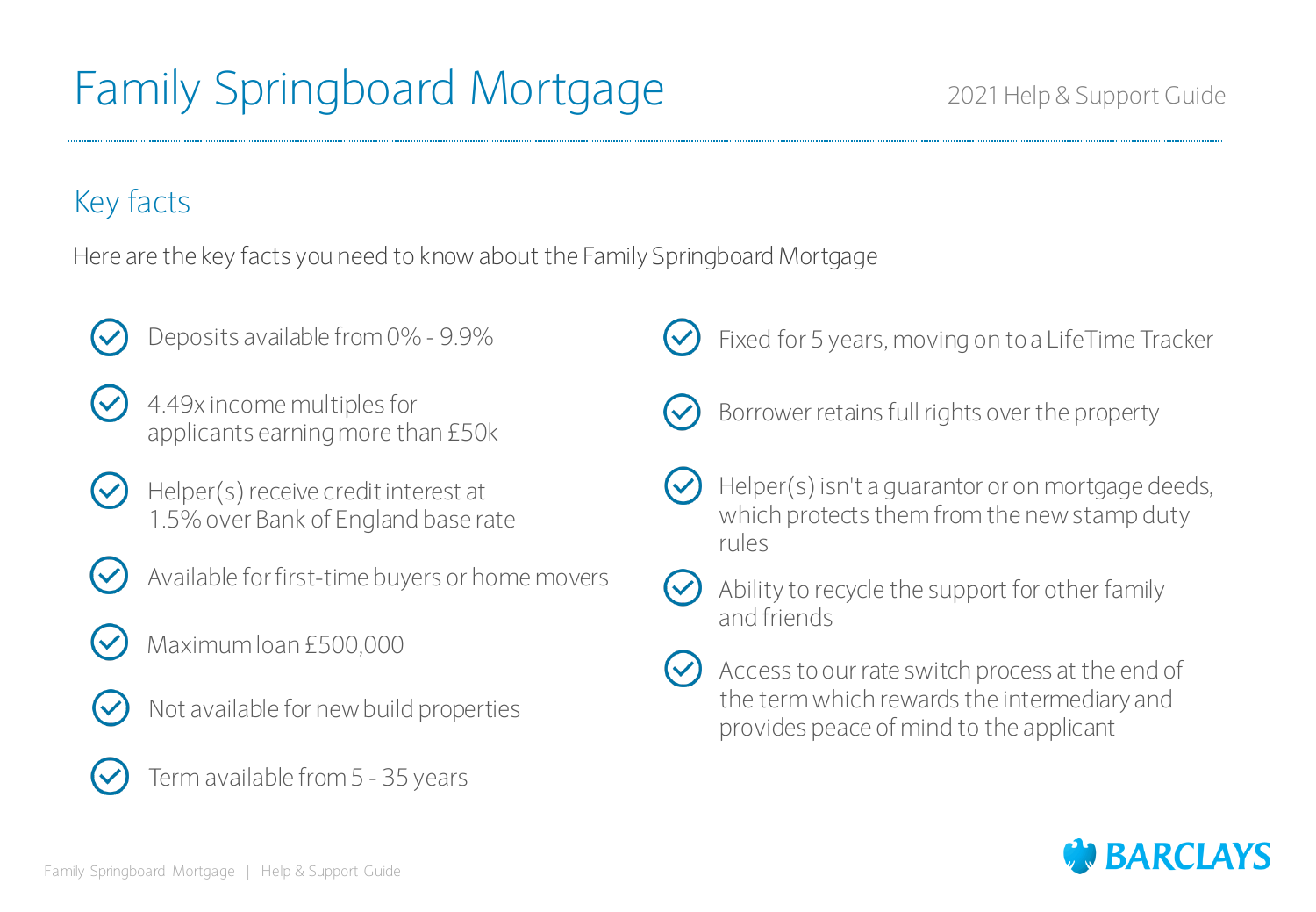### Key facts

Here are the key facts you need to know about the Family Springboard Mortgage



Deposits available from 0% - 9.9%



- 4.49x income multiples for applicants earning more than £50k
- Helper(s) receive credit interest at 1.5% over Bank of England base rate



- Available for first-time buyers or home movers
- Maximum loan £500,000



 $(\checkmark)$ 

- Not available for new build properties
- Term available from 5 35 years

Fixed for 5 years, moving on to a LifeTime Tracker



- Borrower retains full rights over the property
- Helper(s) isn't a guarantor or on mortgage deeds, which protects them from the new stamp duty rules



Ability to recycle the support for other family



Access to our rate switch process at the end of the term which rewards the intermediary and provides peace of mind to the applicant

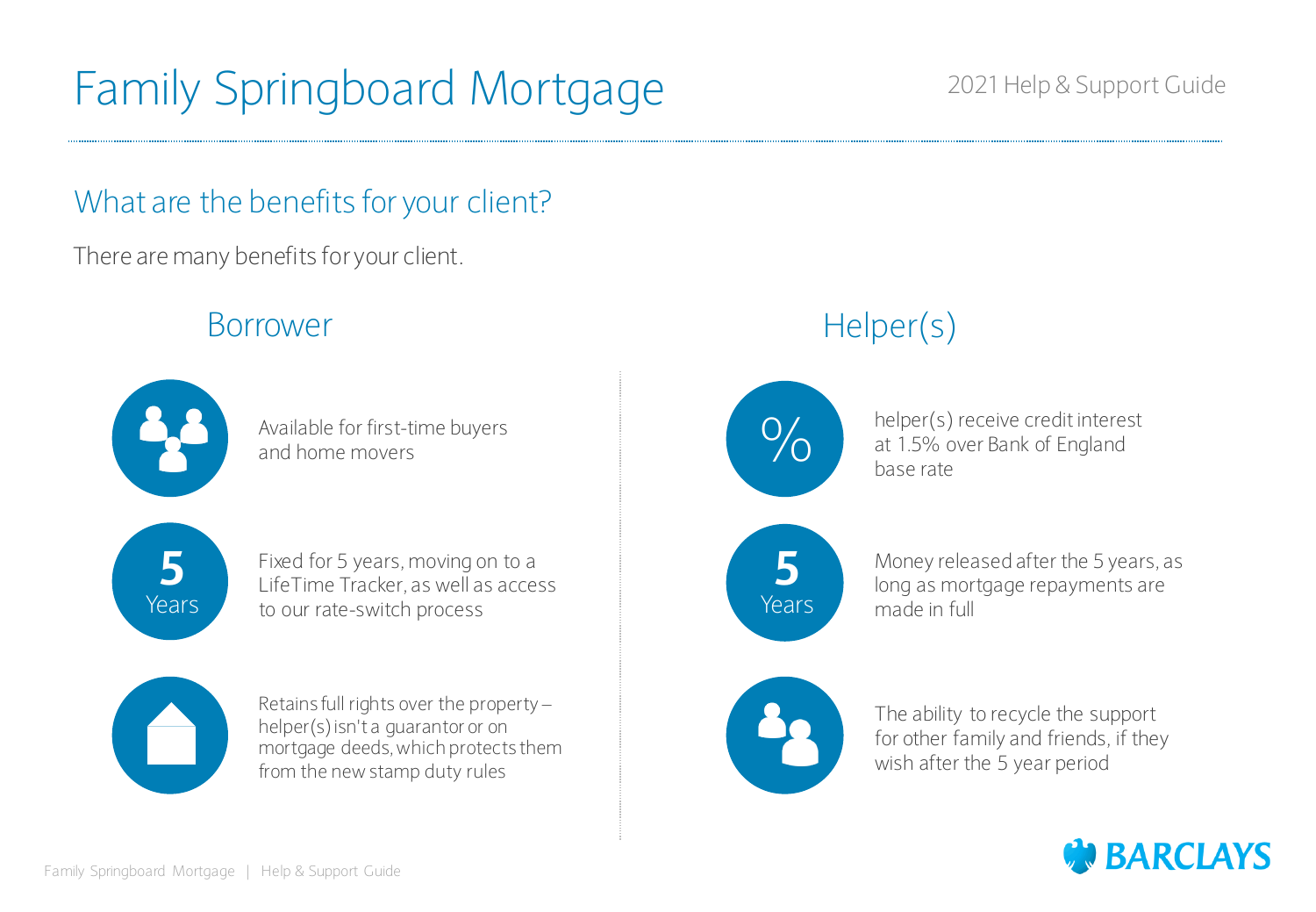### 2021 Help & Support Guide

### What are the benefits for your client?

There are many benefits for your client.

### Borrower



Available for first-time buyers and home movers



Fixed for 5 years, moving on to a LifeTime Tracker, as well as access to our rate-switch process



Retains full rights over the property – helper(s) isn't a guarantor or on mortgage deeds, which protects them from the new stamp duty rules

## Helper(s)



helper(s) receive credit interest at 1.5% over Bank of England base rate

**5** Years

Money released after the 5 years, as long as mortgage repayments are made in full



The ability to recycle the support for other family and friends, if they wish after the 5 year period

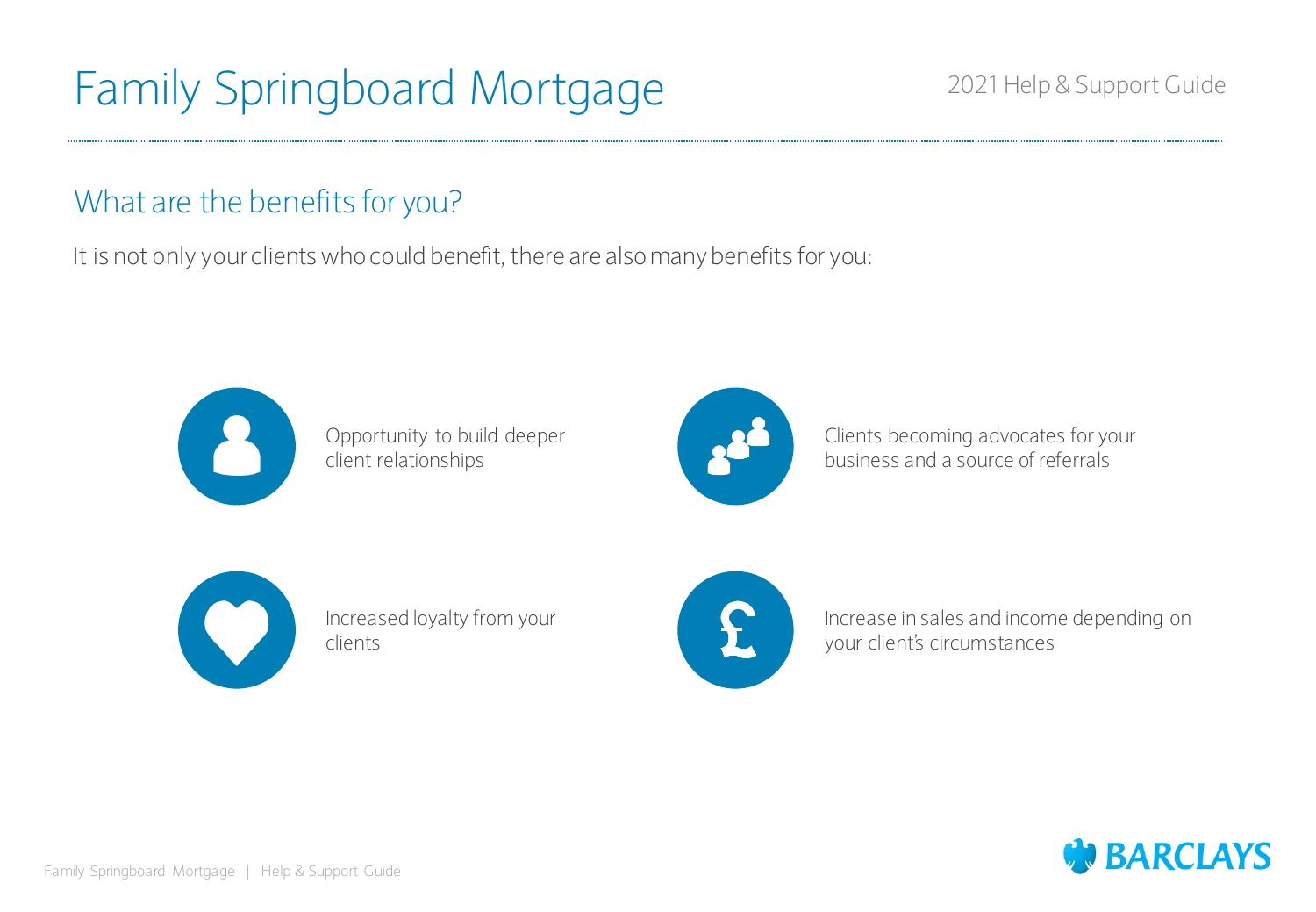### 2021 Help & Support Guide

### What are the benefits for you?

It is not only your clients who could benefit, there are also many benefits for you:



Opportunity to build deeper client relationships



Clients becoming advocates for your business and a source of referrals



Increased loyalty from your clients



Increase in sales and income depending on your client's circumstances

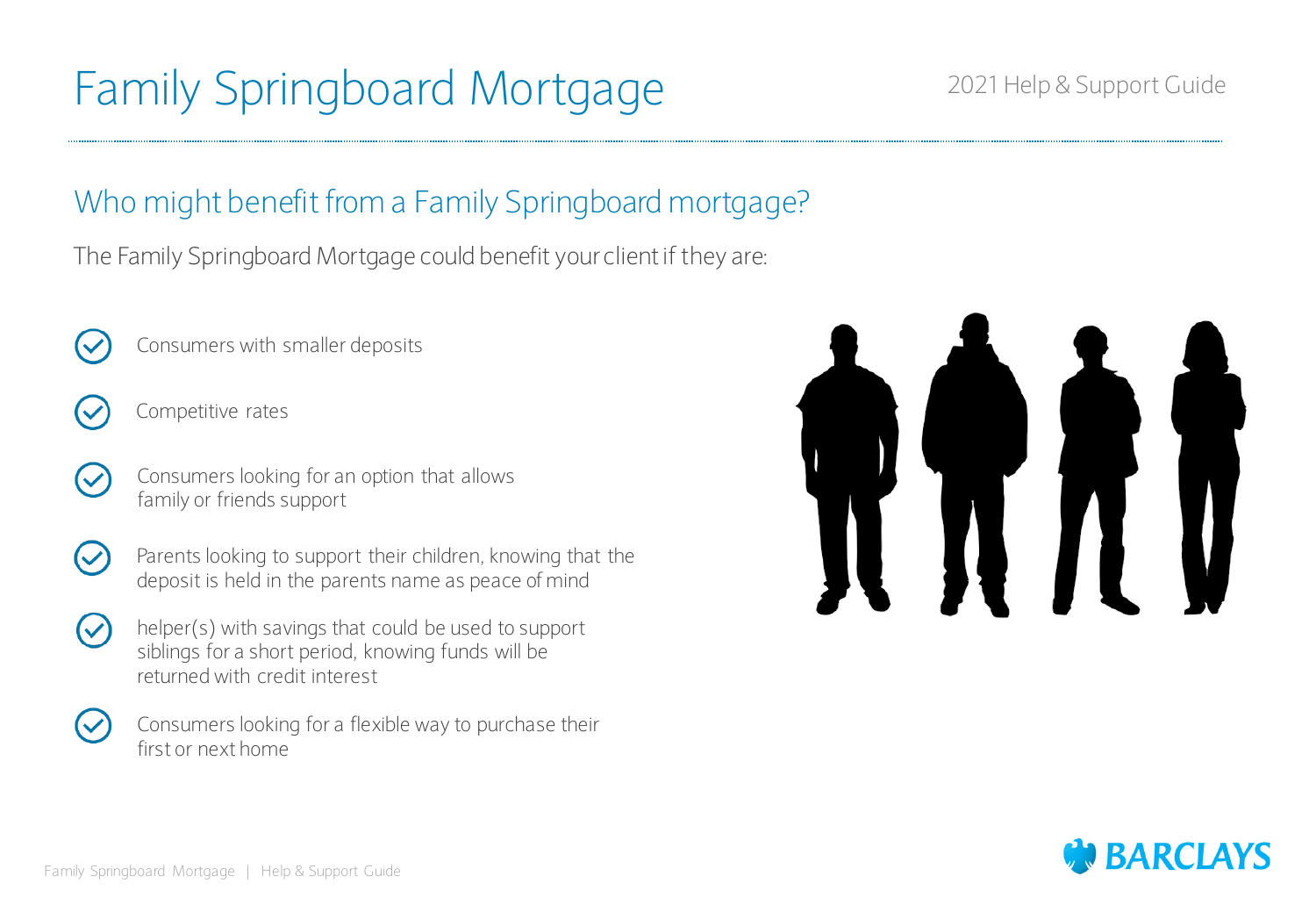### 2021 Help & Support Guide

### Who might benefit from a Family Springboard mortgage?

The Family Springboard Mortgage could benefit your client if they are:

- 
- Consumers with smaller deposits



- Competitive rates
- Consumers looking for an option that allows family or friends support
- 
- Parents looking to support their children, knowing that the deposit is held in the parents name as peace of mind
- helper(s) with savings that could be used to support siblings for a short period, knowing funds will be returned with credit interest



Consumers looking for a flexible way to purchase their first or next home



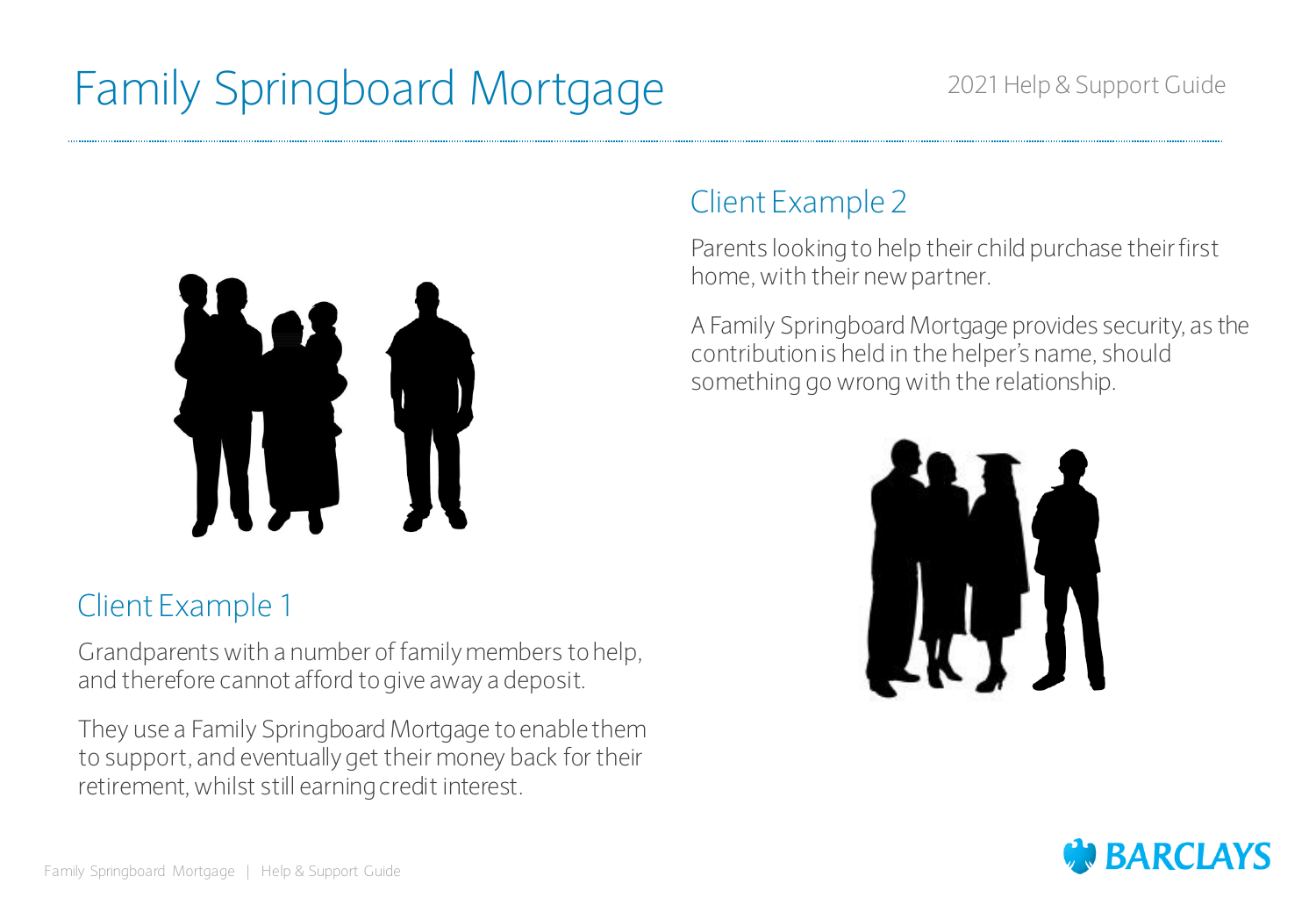

### Client Example 1

Grandparents with a number of family members to help, and therefore cannot afford to give away a deposit.

They use a Family Springboard Mortgage to enable them to support, and eventually get their money back for their retirement, whilst still earning credit interest.

### Client Example 2

Parents looking to help their child purchase their first home, with their new partner.

A Family Springboard Mortgage provides security, as the contribution is held in the helper's name, should something go wrong with the relationship.



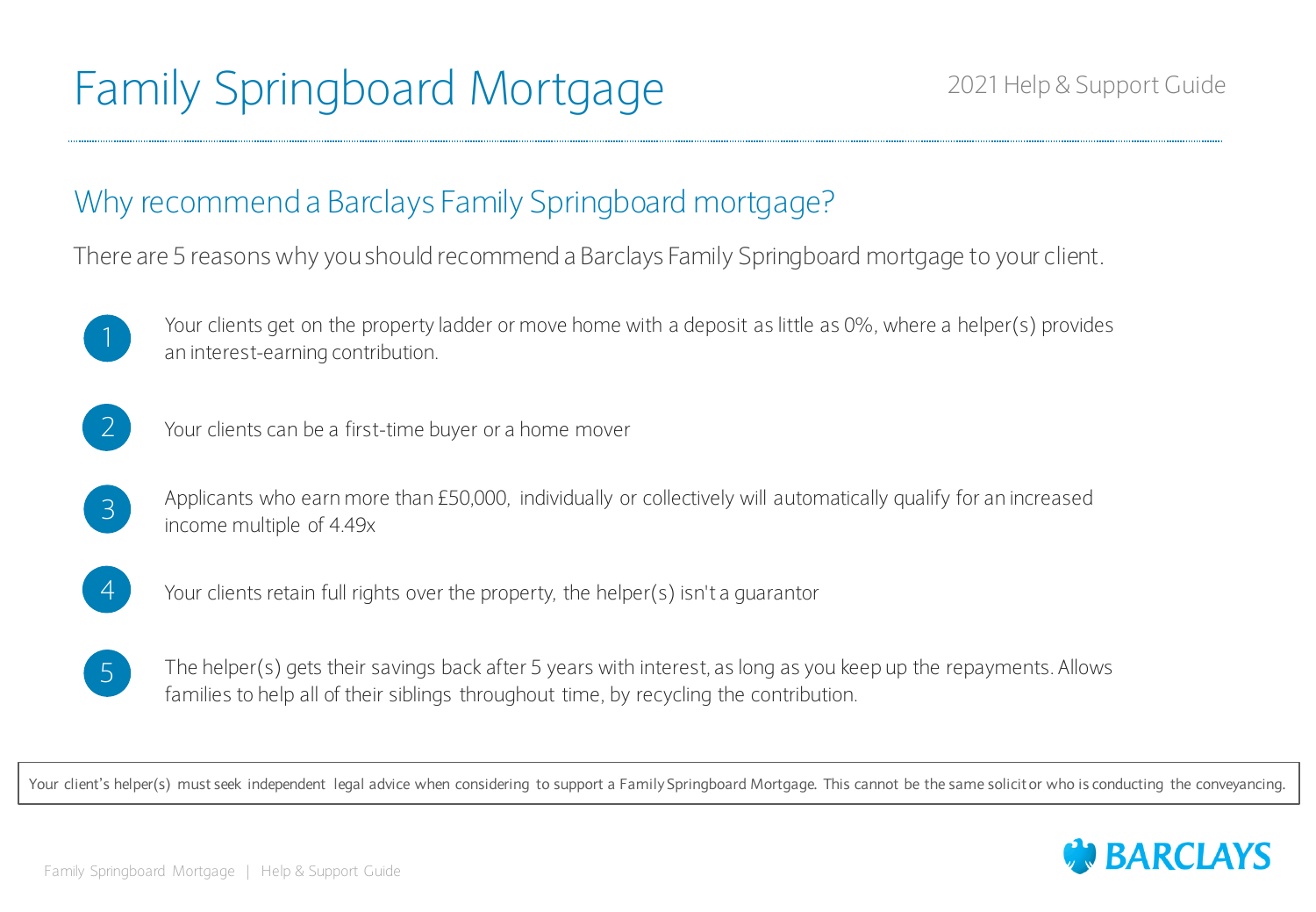### Why recommend a Barclays Family Springboard mortgage?

There are 5 reasons why you should recommend a Barclays Family Springboard mortgage to your client.



Your clients get on the property ladder or move home with a deposit as little as 0%, where a helper(s) provides an interest-earning contribution. 1



 $\begin{pmatrix} 2 \end{pmatrix}$  Your clients can be a first-time buyer or a home mover

Applicants who earn more than £50,000, individually or collectively will automatically qualify for an increased **B** Applicants who earn mor<br>income multiple of 4.49x



 $\overline{4}$  Your clients retain full rights over the property, the helper(s) isn't a quarantor



The helper(s) gets their savings back after 5 years with interest, as long as you keep up the repayments. Allows families to help all of their siblings throughout time, by recycling the contribution.

Your client's helper(s) must seek independent legal advice when considering to support a Family Springboard Mortgage. This cannot be the same solicit or who is conducting the conveyancing.

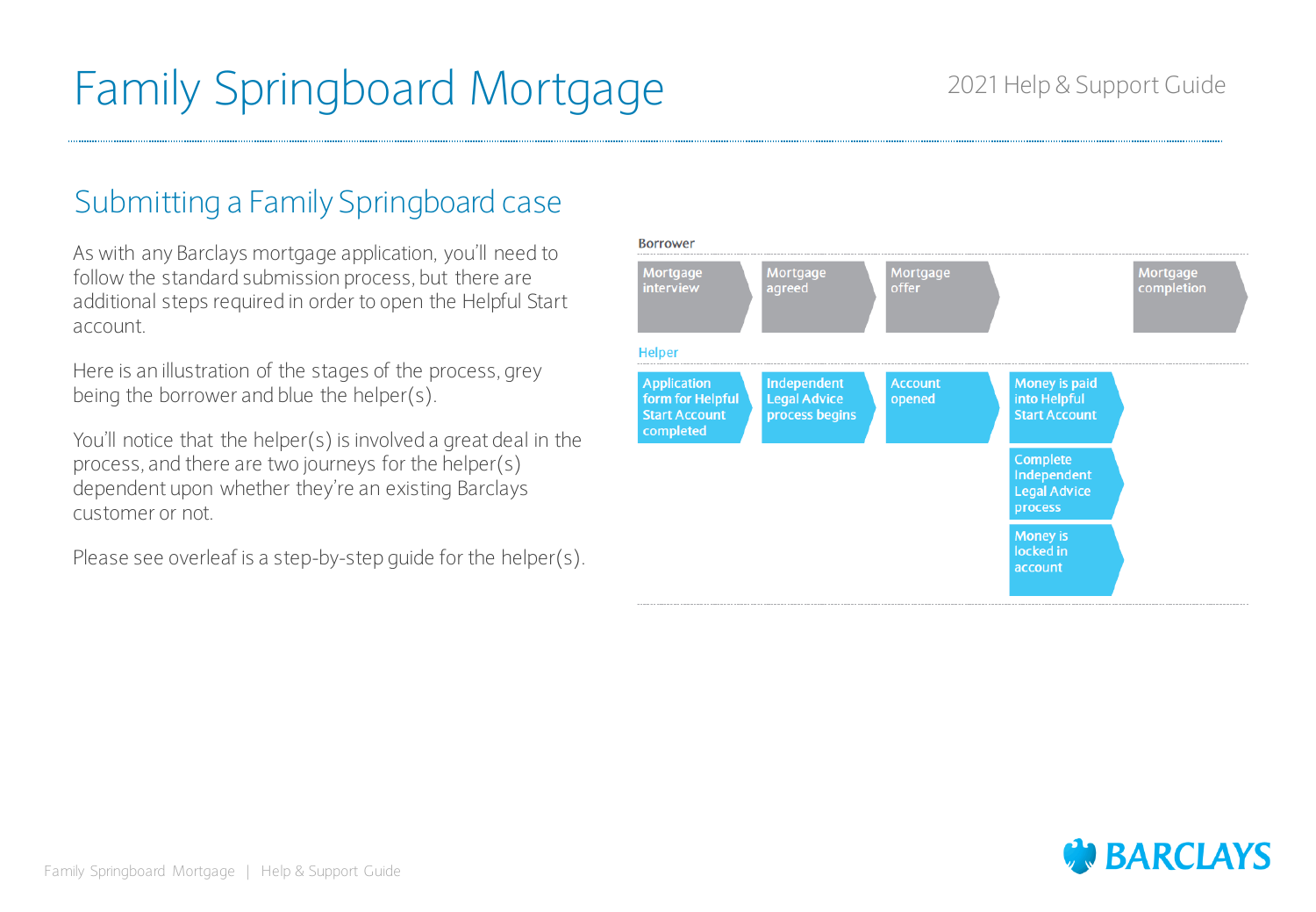## Family Springboard Mortgage 2021 Help & Support Guide

### Submitting a Family Springboard case

As with any Barclays mortgage application, you'll need to follow the standard submission process, but there are additional steps required in order to open the Helpful Start account.

Here is an illustration of the stages of the process, grey being the borrower and blue the helper(s).

You'll notice that the helper(s) is involved a great deal in the process, and there are two journeys for the helper(s) dependent upon whether they're an existing Barclays customer or not.

Please see overleaf is a step-by-step guide for the helper(s).

| Mortgage<br>interview                                                       | Mortgage<br>agreed                                   | Mortgage<br><b>offer</b> |                                                           | Mortgage<br>completion |
|-----------------------------------------------------------------------------|------------------------------------------------------|--------------------------|-----------------------------------------------------------|------------------------|
| <b>Helper</b>                                                               |                                                      |                          |                                                           |                        |
| <b>Application</b><br>form for Helpful<br><b>Start Account</b><br>completed | Independent<br><b>Legal Advice</b><br>process begins | <b>Account</b><br>opened | Money is paid<br>into Helpful<br><b>Start Account</b>     |                        |
|                                                                             |                                                      |                          | Complete<br>Independent<br><b>Legal Advice</b><br>process |                        |
|                                                                             |                                                      |                          | <b>Money is</b><br>locked in<br>account                   |                        |

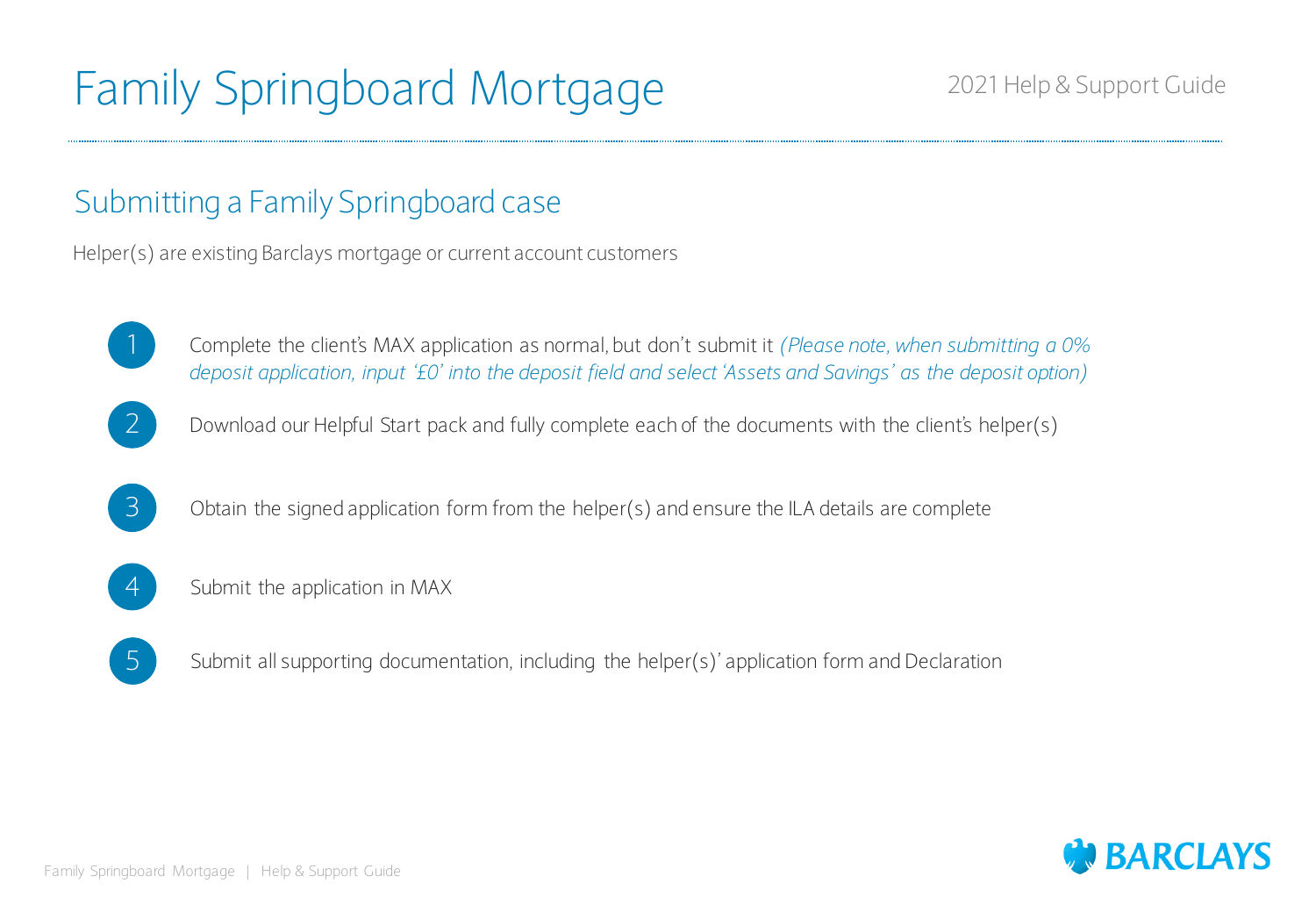## Family Springboard Mortgage 2021 Help & Support Guide

### Submitting a Family Springboard case

Helper(s) are existing Barclays mortgage or current account customers



Complete the client's MAX application as normal, but don't submit it *(Please note, when submitting a 0% deposit application, input '£0' into the deposit field and select 'Assets and Savings' as the deposit option)*





 $\overline{3}$  Obtain the signed application form from the helper(s) and ensure the ILA details are complete



4 Submit the application in MAX



 $\overline{5}$  Submit all supporting documentation, including the helper(s)' application form and Declaration

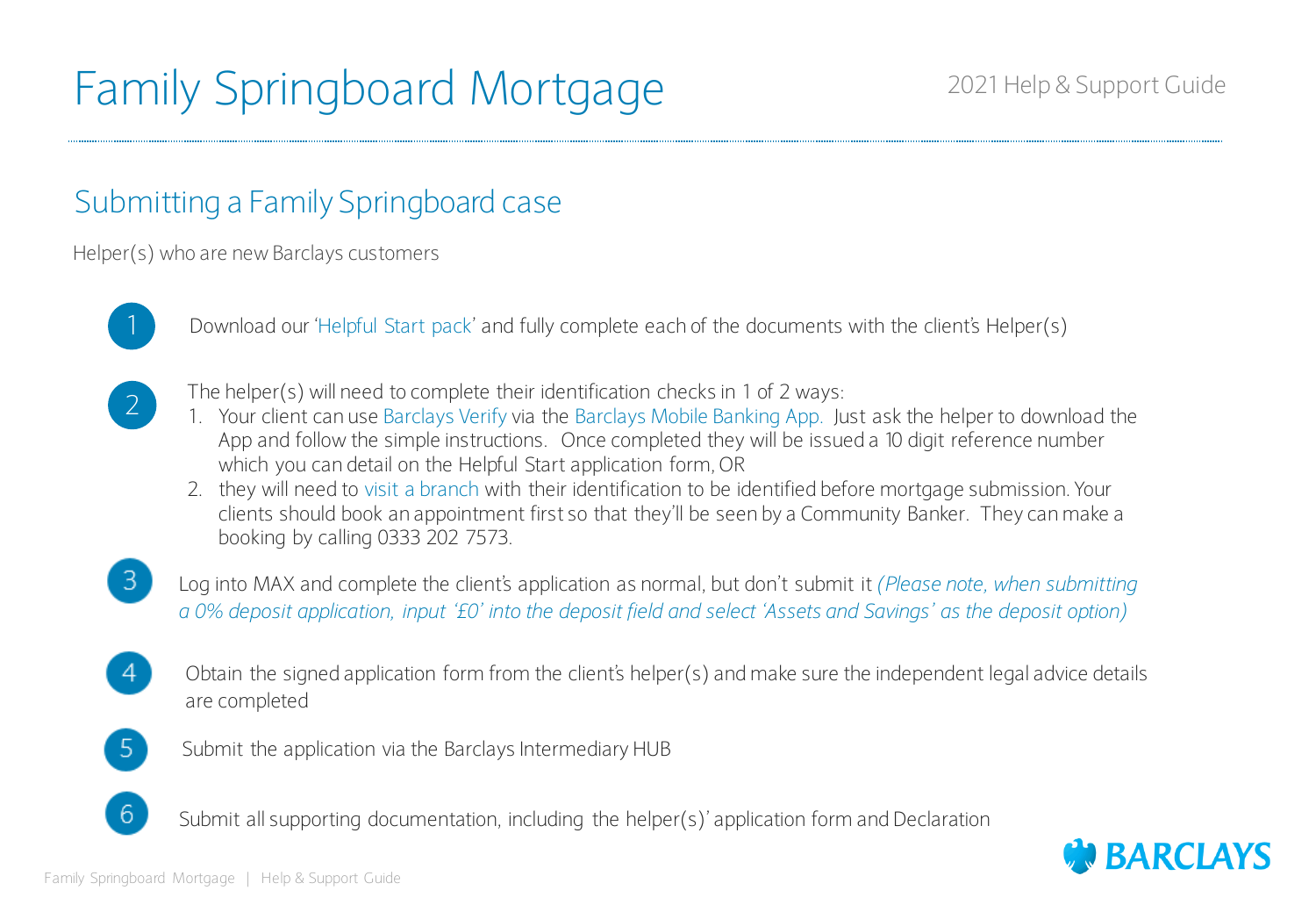## Family Springboard Mortgage 2021 Help & Support Guide

### Submitting a Family Springboard case

Helper(s) who are new Barclays customers



Download our 'Helpful Start pack' and fully complete each of the documents with the client's Helper(s)



- The helper(s) will need to complete their identification checks in 1 of 2 ways:
- 1. Your client can use Barclays Verify via the Barclays Mobile Banking App. Just ask the helper to download the App and follow the simple instructions. Once completed they will be issued a 10 digit reference number which you can detail on the Helpful Start application form, OR
- 2. they will need to visit a branch with their identification to be identified before mortgage submission. Your clients should book an appointment first so that they'll be seen by a Community Banker. They can make a booking by calling 0333 202 7573.
- 3

Log into MAX and complete the client's application as normal, but don't submit it *(Please note, when submitting a 0% deposit application, input '£0' into the deposit field and select 'Assets and Savings' as the deposit option)*

Obtain the signed application form from the client's helper(s) and make sure the independent legal advice details are completed



-6

- Submit the application via the Barclays Intermediary HUB
- Submit all supporting documentation, including the helper(s)' application form and Declaration